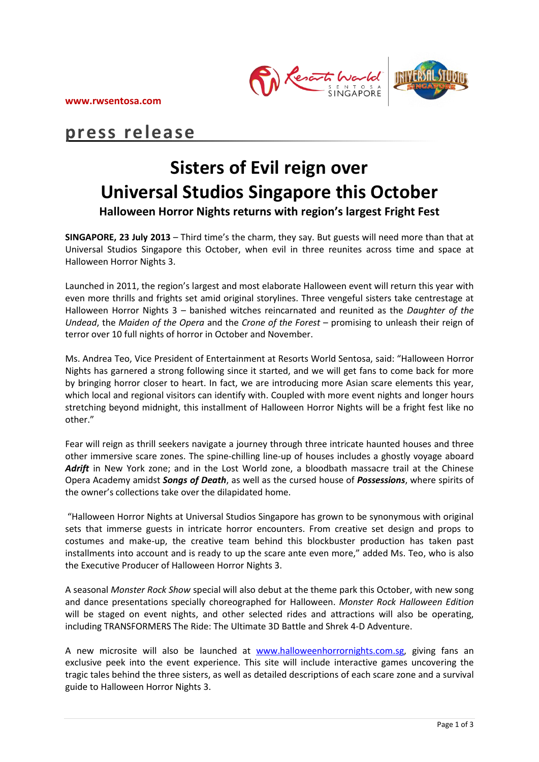**www.rwsentosa.com**



# **press release**

# **Sisters of Evil reign over Universal Studios Singapore this October**

**Halloween Horror Nights returns with region's largest Fright Fest** 

**SINGAPORE, 23 July 2013** – Third time's the charm, they say. But guests will need more than that at Universal Studios Singapore this October, when evil in three reunites across time and space at Halloween Horror Nights 3.

Launched in 2011, the region's largest and most elaborate Halloween event will return this year with even more thrills and frights set amid original storylines. Three vengeful sisters take centrestage at Halloween Horror Nights 3 – banished witches reincarnated and reunited as the *Daughter of the Undead*, the *Maiden of the Opera* and the *Crone of the Forest* – promising to unleash their reign of terror over 10 full nights of horror in October and November.

Ms. Andrea Teo, Vice President of Entertainment at Resorts World Sentosa, said: "Halloween Horror Nights has garnered a strong following since it started, and we will get fans to come back for more by bringing horror closer to heart. In fact, we are introducing more Asian scare elements this year, which local and regional visitors can identify with. Coupled with more event nights and longer hours stretching beyond midnight, this installment of Halloween Horror Nights will be a fright fest like no other."

Fear will reign as thrill seekers navigate a journey through three intricate haunted houses and three other immersive scare zones. The spine-chilling line-up of houses includes a ghostly voyage aboard Adrift in New York zone; and in the Lost World zone, a bloodbath massacre trail at the Chinese Opera Academy amidst *Songs of Death*, as well as the cursed house of *Possessions*, where spirits of the owner's collections take over the dilapidated home.

"Halloween Horror Nights at Universal Studios Singapore has grown to be synonymous with original sets that immerse guests in intricate horror encounters. From creative set design and props to costumes and make-up, the creative team behind this blockbuster production has taken past installments into account and is ready to up the scare ante even more," added Ms. Teo, who is also the Executive Producer of Halloween Horror Nights 3.

A seasonal *Monster Rock Show* special will also debut at the theme park this October, with new song and dance presentations specially choreographed for Halloween. *Monster Rock Halloween Edition* will be staged on event nights, and other selected rides and attractions will also be operating, including TRANSFORMERS The Ride: The Ultimate 3D Battle and Shrek 4-D Adventure.

A new microsite will also be launched at [www.halloweenhorrornights.com.sg,](http://www.halloweenhorrornights.com.sg/) giving fans an exclusive peek into the event experience. This site will include interactive games uncovering the tragic tales behind the three sisters, as well as detailed descriptions of each scare zone and a survival guide to Halloween Horror Nights 3.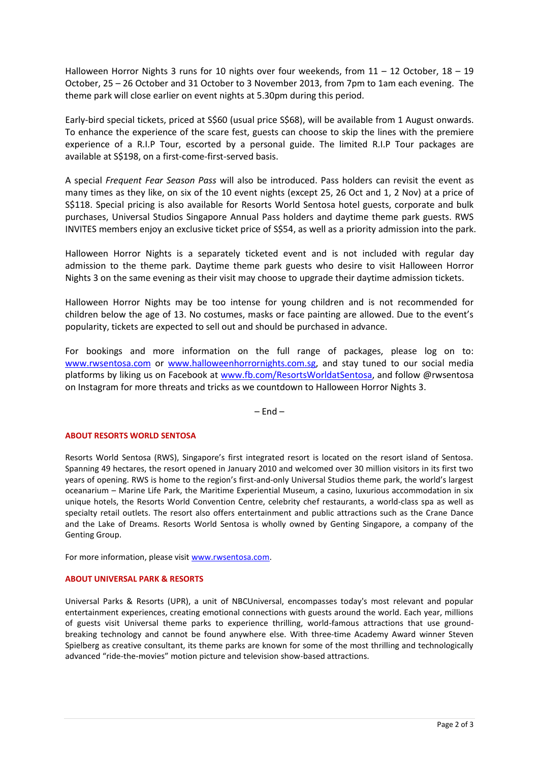Halloween Horror Nights 3 runs for 10 nights over four weekends, from 11 – 12 October, 18 – 19 October, 25 – 26 October and 31 October to 3 November 2013, from 7pm to 1am each evening. The theme park will close earlier on event nights at 5.30pm during this period.

Early-bird special tickets, priced at S\$60 (usual price S\$68), will be available from 1 August onwards. To enhance the experience of the scare fest, guests can choose to skip the lines with the premiere experience of a R.I.P Tour, escorted by a personal guide. The limited R.I.P Tour packages are available at S\$198, on a first-come-first-served basis.

A special *Frequent Fear Season Pass* will also be introduced. Pass holders can revisit the event as many times as they like, on six of the 10 event nights (except 25, 26 Oct and 1, 2 Nov) at a price of S\$118. Special pricing is also available for Resorts World Sentosa hotel guests, corporate and bulk purchases, Universal Studios Singapore Annual Pass holders and daytime theme park guests. RWS INVITES members enjoy an exclusive ticket price of S\$54, as well as a priority admission into the park.

Halloween Horror Nights is a separately ticketed event and is not included with regular day admission to the theme park. Daytime theme park guests who desire to visit Halloween Horror Nights 3 on the same evening as their visit may choose to upgrade their daytime admission tickets.

Halloween Horror Nights may be too intense for young children and is not recommended for children below the age of 13. No costumes, masks or face painting are allowed. Due to the event's popularity, tickets are expected to sell out and should be purchased in advance.

For bookings and more information on the full range of packages, please log on to: [www.rwsentosa.com](http://www.rwsentosa.com/) or [www.halloweenhorrornights.com.sg,](http://www.halloweenhorrornights.com.sg/) and stay tuned to our social media platforms by liking us on Facebook at [www.fb.com/ResortsWorldatSentosa,](http://www.fb.com/ResortsWorldatSentosa) and follow @rwsentosa on Instagram for more threats and tricks as we countdown to Halloween Horror Nights 3.

 $-$  Fnd  $-$ 

### **ABOUT RESORTS WORLD SENTOSA**

Resorts World Sentosa (RWS), Singapore's first integrated resort is located on the resort island of Sentosa. Spanning 49 hectares, the resort opened in January 2010 and welcomed over 30 million visitors in its first two years of opening. RWS is home to the region's first-and-only Universal Studios theme park, the world's largest oceanarium – Marine Life Park, the Maritime Experiential Museum, a casino, luxurious accommodation in six unique hotels, the Resorts World Convention Centre, celebrity chef restaurants, a world-class spa as well as specialty retail outlets. The resort also offers entertainment and public attractions such as the Crane Dance and the Lake of Dreams. Resorts World Sentosa is wholly owned by Genting Singapore, a company of the Genting Group.

For more information, please visit [www.rwsentosa.com.](http://www.rwsentosa.com/)

#### **ABOUT UNIVERSAL PARK & RESORTS**

Universal Parks & Resorts (UPR), a unit of NBCUniversal, encompasses today's most relevant and popular entertainment experiences, creating emotional connections with guests around the world. Each year, millions of guests visit Universal theme parks to experience thrilling, world-famous attractions that use groundbreaking technology and cannot be found anywhere else. With three-time Academy Award winner Steven Spielberg as creative consultant, its theme parks are known for some of the most thrilling and technologically advanced "ride-the-movies" motion picture and television show-based attractions.